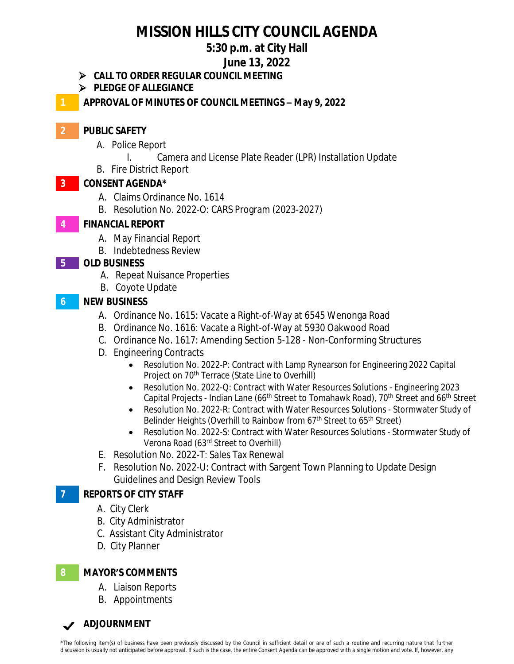# **MISSION HILLS CITY COUNCIL AGENDA**

## **5:30 p.m. at City Hall**

### **June 13, 2022**

- **CALL TO ORDER REGULAR COUNCIL MEETING**
- **PLEDGE OF ALLEGIANCE**

**1 APPROVAL OF MINUTES OF COUNCIL MEETINGS – May 9, 2022**

## **2 PUBLIC SAFETY**

- A. Police Report
	- I. Camera and License Plate Reader (LPR) Installation Update
- B. Fire District Report

### **3 CONSENT AGENDA\***

- A. Claims Ordinance No. 1614
- B. Resolution No. 2022-O: CARS Program (2023-2027)

## **4 FINANCIAL REPORT**

- A. May Financial Report
- B. Indebtedness Review

### **5 OLD BUSINESS**

- A. Repeat Nuisance Properties
- B. Coyote Update

### **6 NEW BUSINESS**

- A. Ordinance No. 1615: Vacate a Right-of-Way at 6545 Wenonga Road
- B. Ordinance No. 1616: Vacate a Right-of-Way at 5930 Oakwood Road
- C. Ordinance No. 1617: Amending Section 5-128 Non-Conforming Structures
- D. Engineering Contracts
	- Resolution No. 2022-P: Contract with Lamp Rynearson for Engineering 2022 Capital Project on 70<sup>th</sup> Terrace (State Line to Overhill)
	- Resolution No. 2022-Q: Contract with Water Resources Solutions Engineering 2023 Capital Projects - Indian Lane (66<sup>th</sup> Street to Tomahawk Road), 70<sup>th</sup> Street and 66<sup>th</sup> Street
	- Resolution No. 2022-R: Contract with Water Resources Solutions Stormwater Study of Belinder Heights (Overhill to Rainbow from 67<sup>th</sup> Street to 65<sup>th</sup> Street)
	- Resolution No. 2022-S: Contract with Water Resources Solutions Stormwater Study of Verona Road (63rd Street to Overhill)
- E. Resolution No. 2022-T: Sales Tax Renewal
- F. Resolution No. 2022-U: Contract with Sargent Town Planning to Update Design Guidelines and Design Review Tools

## **7 REPORTS OF CITY STAFF**

- A. City Clerk
- B. City Administrator
- C. Assistant City Administrator
- D. City Planner

#### **8 MAYOR'S COMMENTS**

- A. Liaison Reports
- B. Appointments